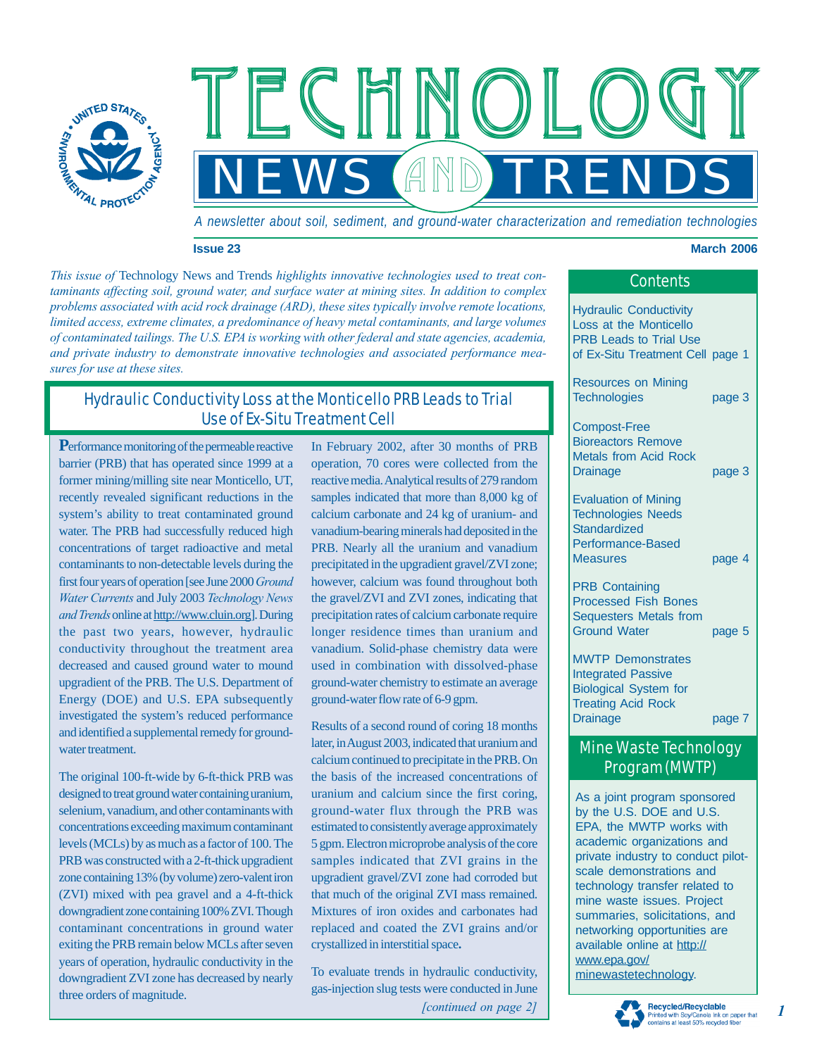

*A newsletter about soil, sediment, and ground-water characterization and remediation technologies*

*NEWS TRENDS*

 $FCHMOI$ 

GIN

#### **Issue 23 March 2006**

*This issue of* Technology News and Trends *highlights innovative technologies used to treat contaminants affecting soil, ground water, and surface water at mining sites. In addition to complex problems associated with acid rock drainage (ARD), these sites typically involve remote locations, limited access, extreme climates, a predominance of heavy metal contaminants, and large volumes of contaminated tailings. The U.S. EPA is working with other federal and state agencies, academia, and private industry to demonstrate innovative technologies and associated performance measures for use at these sites.*

# Hydraulic Conductivity Loss at the Monticello PRB Leads to Trial Use of Ex-Situ Treatment Cell

**P**erformance monitoring of the permeable reactive barrier (PRB) that has operated since 1999 at a former mining/milling site near Monticello, UT, recently revealed significant reductions in the system's ability to treat contaminated ground water. The PRB had successfully reduced high concentrations of target radioactive and metal contaminants to non-detectable levels during the first four years of operation [see June 2000 *Ground Water Currents* and July 2003 *Technology News and Trends* online at<http://www.cluin.org>]. During the past two years, however, hydraulic conductivity throughout the treatment area decreased and caused ground water to mound upgradient of the PRB. The U.S. Department of Energy (DOE) and U.S. EPA subsequently investigated the system's reduced performance and identified a supplemental remedy for groundwater treatment.

The original 100-ft-wide by 6-ft-thick PRB was designed to treat ground water containing uranium, selenium, vanadium, and other contaminants with concentrations exceeding maximum contaminant levels (MCLs) by as much as a factor of 100. The PRB was constructed with a 2-ft-thick upgradient zone containing 13% (by volume) zero-valent iron (ZVI) mixed with pea gravel and a 4-ft-thick downgradient zone containing 100% ZVI. Though contaminant concentrations in ground water exiting the PRB remain below MCLs after seven years of operation, hydraulic conductivity in the downgradient ZVI zone has decreased by nearly three orders of magnitude.

In February 2002, after 30 months of PRB operation, 70 cores were collected from the reactive media. Analytical results of 279 random samples indicated that more than 8,000 kg of calcium carbonate and 24 kg of uranium- and vanadium-bearing minerals had deposited in the PRB. Nearly all the uranium and vanadium precipitated in the upgradient gravel/ZVI zone; however, calcium was found throughout both the gravel/ZVI and ZVI zones, indicating that precipitation rates of calcium carbonate require longer residence times than uranium and vanadium. Solid-phase chemistry data were used in combination with dissolved-phase ground-water chemistry to estimate an average ground-water flow rate of 6-9 gpm.

Results of a second round of coring 18 months later, in August 2003, indicated that uranium and calcium continued to precipitate in the PRB. On the basis of the increased concentrations of uranium and calcium since the first coring, ground-water flux through the PRB was estimated to consistently average approximately 5 gpm. Electron microprobe analysis of the core samples indicated that ZVI grains in the upgradient gravel/ZVI zone had corroded but that much of the original ZVI mass remained. Mixtures of iron oxides and carbonates had replaced and coated the ZVI grains and/or crystallized in interstitial space**.**

*[continued on page 2]* To evaluate trends in hydraulic conductivity, gas-injection slug tests were conducted in June

|  | <b>Contents</b> |  |
|--|-----------------|--|
|  |                 |  |
|  |                 |  |

Hydraulic Conductivity Loss at the Monticello PRB Leads to Trial Use of Ex-Situ Treatment Cell page 1

Resources on Mining Technologies page 3

Compost-Free Bioreactors Remove Metals from Acid Rock Drainage page 3

Evaluation of Mining Technologies Needs **Standardized** Performance-Based Measures page 4

PRB Containing Processed Fish Bones Sequesters Metals from Ground Water **page 5** 

MWTP Demonstrates Integrated Passive Biological System for Treating Acid Rock Drainage page 7

# Mine Waste Technology Program (MWTP)

As a joint program sponsored by the U.S. DOE and U.S. EPA, the MWTP works with academic organizations and private industry to conduct pilotscale demonstrations and technology transfer related to mine waste issues. Project summaries, solicitations, and networking opportunities are [available online at http://](http://www.epa.gov/) www.epa.gov/ minewastetechnology.



#### *1*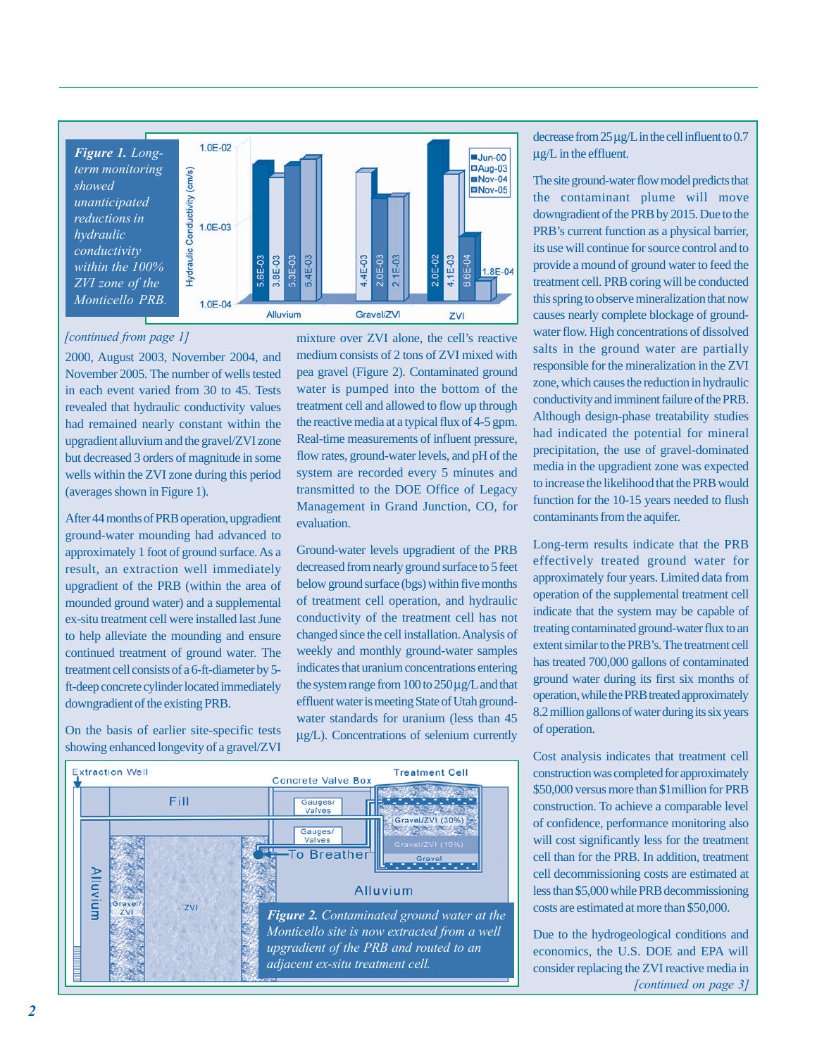

#### *[continued from page 1]*

2000, August 2003, November 2004, and November 2005. The number of wells tested in each event varied from 30 to 45. Tests revealed that hydraulic conductivity values had remained nearly constant within the upgradient alluvium and the gravel/ZVI zone but decreased 3 orders of magnitude in some wells within the ZVI zone during this period (averages shown in Figure 1).

After 44 months of PRB operation, upgradient ground-water mounding had advanced to approximately 1 foot of ground surface. As a result, an extraction well immediately upgradient of the PRB (within the area of mounded ground water) and a supplemental ex-situ treatment cell were installed last June to help alleviate the mounding and ensure continued treatment of ground water*.* The treatment cell consists of a 6-ft-diameter by 5 ft-deep concrete cylinder located immediately downgradient of the existing PRB.

On the basis of earlier site-specific tests showing enhanced longevity of a gravel/ZVI mixture over ZVI alone, the cell's reactive medium consists of 2 tons of ZVI mixed with pea gravel (Figure 2). Contaminated ground water is pumped into the bottom of the treatment cell and allowed to flow up through the reactive media at a typical flux of 4-5 gpm. Real-time measurements of influent pressure, flow rates, ground-water levels, and pH of the system are recorded every 5 minutes and transmitted to the DOE Office of Legacy Management in Grand Junction, CO, for evaluation.

Ground-water levels upgradient of the PRB decreased from nearly ground surface to 5 feet below ground surface (bgs) within five months of treatment cell operation, and hydraulic conductivity of the treatment cell has not changed since the cell installation. Analysis of weekly and monthly ground-water samples indicates that uranium concentrations entering the system range from  $100$  to  $250 \mu g/L$  and that effluent water is meeting State of Utah groundwater standards for uranium (less than 45 µg/L). Concentrations of selenium currently



decrease from 25 µg/L in the cell influent to 0.7 µg/L in the effluent.

The site ground-water flow model predicts that the contaminant plume will move downgradient of the PRB by 2015. Due to the PRB's current function as a physical barrier, its use will continue for source control and to provide a mound of ground water to feed the treatment cell. PRB coring will be conducted this spring to observe mineralization that now causes nearly complete blockage of groundwater flow. High concentrations of dissolved salts in the ground water are partially responsible for the mineralization in the ZVI zone, which causes the reduction in hydraulic conductivity and imminent failure of the PRB. Although design-phase treatability studies had indicated the potential for mineral precipitation, the use of gravel-dominated media in the upgradient zone was expected to increase the likelihood that the PRB would function for the 10-15 years needed to flush contaminants from the aquifer.

Long-term results indicate that the PRB effectively treated ground water for approximately four years. Limited data from operation of the supplemental treatment cell indicate that the system may be capable of treating contaminated ground-water flux to an extent similar to the PRB's. The treatment cell has treated 700,000 gallons of contaminated ground water during its first six months of operation, while the PRB treated approximately 8.2 million gallons of water during its six years of operation.

Cost analysis indicates that treatment cell construction was completed for approximately \$50,000 versus more than \$1million for PRB construction. To achieve a comparable level of confidence, performance monitoring also will cost significantly less for the treatment cell than for the PRB. In addition, treatment cell decommissioning costs are estimated at less than \$5,000 while PRB decommissioning costs are estimated at more than \$50,000.

Due to the hydrogeological conditions and economics, the U.S. DOE and EPA will consider replacing the ZVI reactive media in *[continued on page 3]*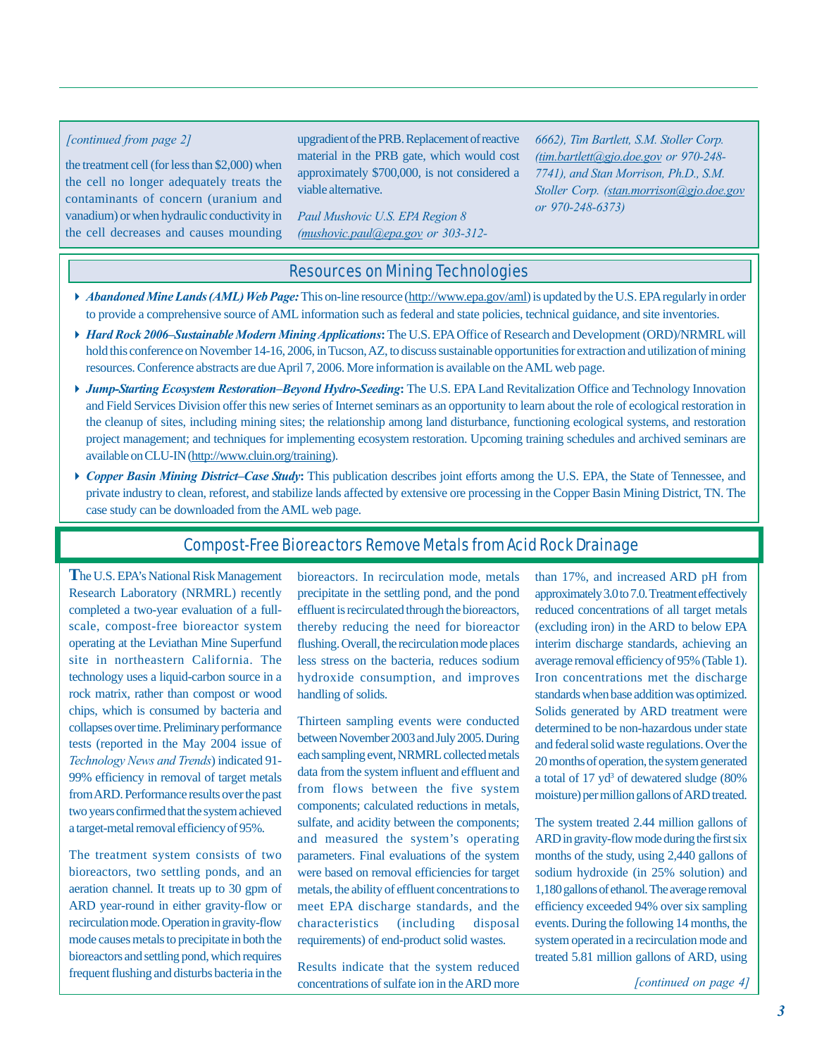the treatment cell (for less than \$2,000) when the cell no longer adequately treats the contaminants of concern (uranium and vanadium) or when hydraulic conductivity in the cell decreases and causes mounding

upgradient of the PRB. Replacement of reactive *[continued from page 2] 6662), Tim Bartlett, S.M. Stoller Corp.* material in the PRB gate, which would cost approximately \$700,000, is not considered a viable alternative.

> *Paul Mushovic U.S. EPA Region 8 (mushovic.paul@epa.gov or 303-312-*

*(tim.bartlett@gjo.doe.gov or 970-248- 7741), and Stan Morrison, Ph.D., S.M. Stoller Corp. (stan.morrison@gjo.doe.gov or 970-248-6373)*

## Resources on Mining Technologies

- *Abandoned Mine Lands (AML) Web Page:* This on-line resource [\(http://www.epa.gov/aml\)](http://www.epa.gov/aml) is updated by the U.S. EPA regularly in order to provide a comprehensive source of AML information such as federal and state policies, technical guidance, and site inventories.
- *Hard Rock 2006–Sustainable Modern Mining Applications***:** The U.S. EPA Office of Research and Development (ORD)/NRMRL will hold this conference on November 14-16, 2006, in Tucson, AZ, to discuss sustainable opportunities for extraction and utilization of mining resources. Conference abstracts are due April 7, 2006. More information is available on the AML web page.
- *Jump-Starting Ecosystem Restoration–Beyond Hydro-Seeding***:** The U.S. EPA Land Revitalization Office and Technology Innovation and Field Services Division offer this new series of Internet seminars as an opportunity to learn about the role of ecological restoration in the cleanup of sites, including mining sites; the relationship among land disturbance, functioning ecological systems, and restoration project management; and techniques for implementing ecosystem restoration. Upcoming training schedules and archived seminars are available on CLU-IN [\(http://www.cluin.org/training](http://www.cluin.org/training)).
- *Copper Basin Mining District–Case Study***:** This publication describes joint efforts among the U.S. EPA, the State of Tennessee, and private industry to clean, reforest, and stabilize lands affected by extensive ore processing in the Copper Basin Mining District, TN. The case study can be downloaded from the AML web page.

# Compost-Free Bioreactors Remove Metals from Acid Rock Drainage

**T**he U.S. EPA's National Risk Management Research Laboratory (NRMRL) recently completed a two-year evaluation of a fullscale, compost-free bioreactor system operating at the Leviathan Mine Superfund site in northeastern California. The technology uses a liquid-carbon source in a rock matrix, rather than compost or wood chips, which is consumed by bacteria and collapses over time. Preliminary performance tests (reported in the May 2004 issue of *Technology News and Trends*) indicated 91- 99% efficiency in removal of target metals from ARD. Performance results over the past two years confirmed that the system achieved a target-metal removal efficiency of 95%.

The treatment system consists of two bioreactors, two settling ponds, and an aeration channel. It treats up to 30 gpm of ARD year-round in either gravity-flow or recirculation mode. Operation in gravity-flow mode causes metals to precipitate in both the bioreactors and settling pond, which requires frequent flushing and disturbs bacteria in the bioreactors. In recirculation mode, metals precipitate in the settling pond, and the pond effluent is recirculated through the bioreactors, thereby reducing the need for bioreactor flushing. Overall, the recirculation mode places less stress on the bacteria, reduces sodium hydroxide consumption, and improves handling of solids.

Thirteen sampling events were conducted between November 2003 and July 2005. During each sampling event, NRMRL collected metals data from the system influent and effluent and from flows between the five system components; calculated reductions in metals, sulfate, and acidity between the components; and measured the system's operating parameters. Final evaluations of the system were based on removal efficiencies for target metals, the ability of effluent concentrations to meet EPA discharge standards, and the characteristics (including disposal requirements) of end-product solid wastes.

Results indicate that the system reduced concentrations of sulfate ion in the ARD more than 17%, and increased ARD pH from approximately 3.0 to 7.0. Treatment effectively reduced concentrations of all target metals (excluding iron) in the ARD to below EPA interim discharge standards, achieving an average removal efficiency of 95% (Table 1). Iron concentrations met the discharge standards when base addition was optimized. Solids generated by ARD treatment were determined to be non-hazardous under state and federal solid waste regulations. Over the 20 months of operation, the system generated a total of 17 yd<sup>3</sup> of dewatered sludge (80% moisture) per million gallons of ARD treated.

The system treated 2.44 million gallons of ARD in gravity-flow mode during the first six months of the study, using 2,440 gallons of sodium hydroxide (in 25% solution) and 1,180 gallons of ethanol. The average removal efficiency exceeded 94% over six sampling events. During the following 14 months, the system operated in a recirculation mode and treated 5.81 million gallons of ARD, using

*[continued on page 4]*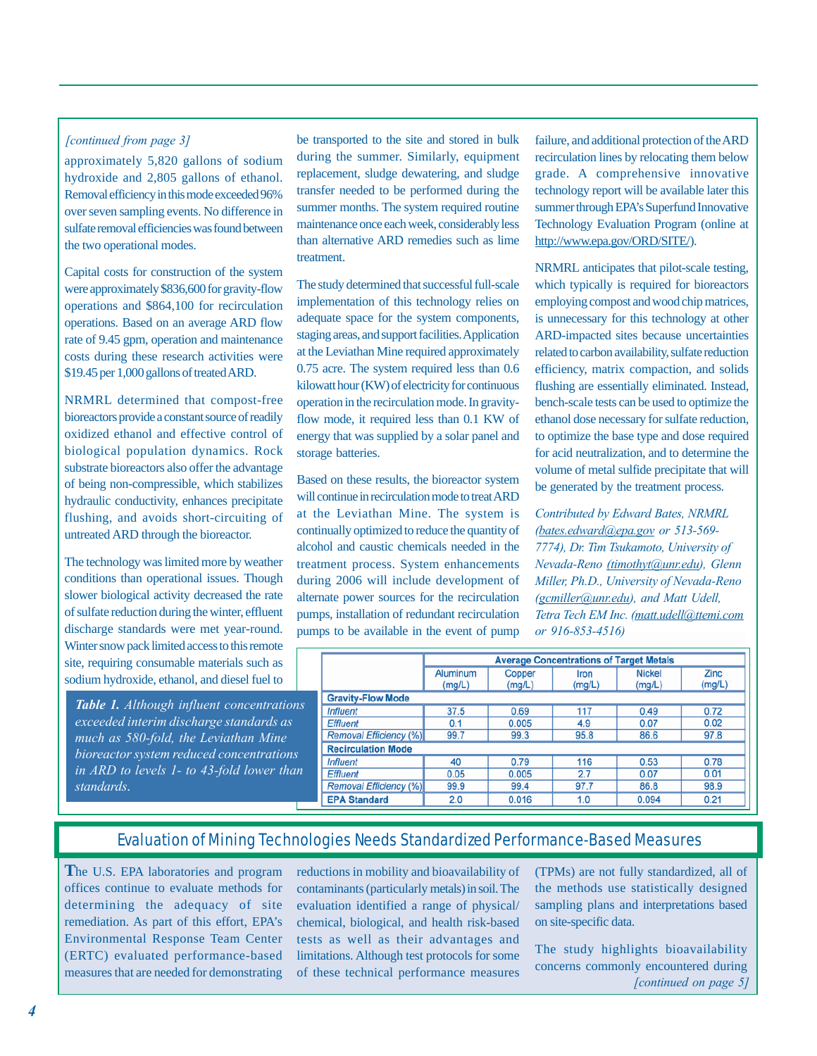## *[continued from page 3]*

approximately 5,820 gallons of sodium hydroxide and 2,805 gallons of ethanol. Removal efficiency in this mode exceeded 96% over seven sampling events. No difference in sulfate removal efficiencies was found between the two operational modes.

Capital costs for construction of the system were approximately \$836,600 for gravity-flow operations and \$864,100 for recirculation operations. Based on an average ARD flow rate of 9.45 gpm, operation and maintenance costs during these research activities were \$19.45 per 1,000 gallons of treated ARD.

NRMRL determined that compost-free bioreactors provide a constant source of readily oxidized ethanol and effective control of biological population dynamics. Rock substrate bioreactors also offer the advantage of being non-compressible, which stabilizes hydraulic conductivity, enhances precipitate flushing, and avoids short-circuiting of untreated ARD through the bioreactor.

The technology was limited more by weather conditions than operational issues. Though slower biological activity decreased the rate of sulfate reduction during the winter, effluent discharge standards were met year-round. Winter snow pack limited access to this remote site, requiring consumable materials such as sodium hydroxide, ethanol, and diesel fuel to

*Table 1. Although influent concentrations exceeded interim discharge standards as much as 580-fold, the Leviathan Mine bioreactor system reduced concentrations in ARD to levels 1- to 43-fold lower than standards*.

be transported to the site and stored in bulk during the summer. Similarly, equipment replacement, sludge dewatering, and sludge transfer needed to be performed during the summer months. The system required routine maintenance once each week, considerably less than alternative ARD remedies such as lime treatment.

The study determined that successful full-scale implementation of this technology relies on adequate space for the system components, staging areas, and support facilities. Application at the Leviathan Mine required approximately 0.75 acre. The system required less than 0.6 kilowatt hour (KW) of electricity for continuous operation in the recirculation mode. In gravityflow mode, it required less than 0.1 KW of energy that was supplied by a solar panel and storage batteries.

Based on these results, the bioreactor system will continue in recirculation mode to treat ARD at the Leviathan Mine. The system is continually optimized to reduce the quantity of alcohol and caustic chemicals needed in the treatment process. System enhancements during 2006 will include development of alternate power sources for the recirculation pumps, installation of redundant recirculation pumps to be available in the event of pump failure, and additional protection of the ARD recirculation lines by relocating them below grade. A comprehensive innovative technology report will be available later this summer through EPA's Superfund Innovative Technology Evaluation Program (online at [http://www.epa.gov/ORD/SITE](http://www.epa.gov/ORD/SITE/)/).

NRMRL anticipates that pilot-scale testing, which typically is required for bioreactors employing compost and wood chip matrices, is unnecessary for this technology at other ARD-impacted sites because uncertainties related to carbon availability, sulfate reduction efficiency, matrix compaction, and solids flushing are essentially eliminated. Instead, bench-scale tests can be used to optimize the ethanol dose necessary for sulfate reduction, to optimize the base type and dose required for acid neutralization, and to determine the volume of metal sulfide precipitate that will be generated by the treatment process.

*Contributed by Edward Bates, NRMRL (bates.edward@epa.gov or 513-569- 7774), Dr. Tim Tsukamoto, University of Nevada-Reno (timothyt@unr.edu), Glenn Miller, Ph.D., University of Nevada-Reno (gcmiller@unr.edu), and Matt Udell, Tetra Tech EM Inc. (matt.udell@ttemi.com or 916-853-4516)*

|                               | <b>Average Concentrations of Target Metals</b> |                  |                |                         |                       |  |
|-------------------------------|------------------------------------------------|------------------|----------------|-------------------------|-----------------------|--|
|                               | Aluminum<br>(mg/L)                             | Copper<br>(mg/L) | Iron<br>(mg/L) | <b>Nickel</b><br>(mg/L) | <b>Zinc</b><br>(mg/L) |  |
| <b>Gravity-Flow Mode</b>      |                                                |                  |                |                         |                       |  |
| <b>Influent</b>               | 37.5                                           | 0.69             | 117            | 0.49                    | 0.72                  |  |
| <b>Effluent</b>               | 0.1                                            | 0.005            | 4.9            | 0.07                    | 0.02                  |  |
| <b>Removal Efficiency (%)</b> | 99.7                                           | 99.3             | 95.8           | 86.6                    | 97.8                  |  |
| <b>Recirculation Mode</b>     |                                                |                  |                |                         |                       |  |
| <b>Influent</b>               | 40                                             | 0.79             | 116            | 0.53                    | 0.78                  |  |
| <b>Effluent</b>               | 0.05                                           | 0.005            | 2.7            | 0.07                    | 0.01                  |  |
| <b>Removal Efficiency (%)</b> | 99.9                                           | 99.4             | 97.7           | 86.8                    | 98.9                  |  |
| <b>EPA Standard</b>           | 2.0                                            | 0.016            | 1.0            | 0.094                   | 0.21                  |  |

# Evaluation of Mining Technologies Needs Standardized Performance-Based Measures

**T**he U.S. EPA laboratories and program offices continue to evaluate methods for determining the adequacy of site remediation. As part of this effort, EPA's Environmental Response Team Center (ERTC) evaluated performance-based measures that are needed for demonstrating reductions in mobility and bioavailability of contaminants (particularly metals) in soil. The evaluation identified a range of physical/ chemical, biological, and health risk-based tests as well as their advantages and limitations. Although test protocols for some of these technical performance measures

(TPMs) are not fully standardized, all of the methods use statistically designed sampling plans and interpretations based on site-specific data.

*[continued on page 5]* The study highlights bioavailability concerns commonly encountered during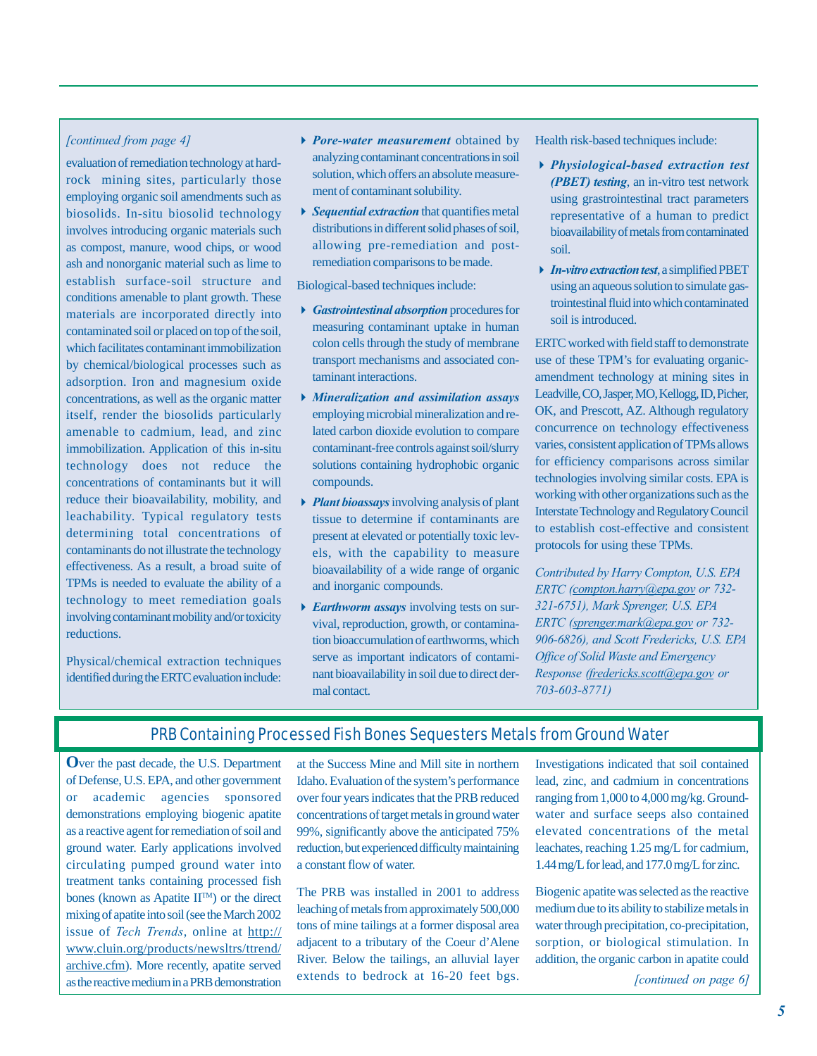### *[continued from page 4]*

evaluation of remediation technology at hardrock mining sites, particularly those employing organic soil amendments such as biosolids. In-situ biosolid technology involves introducing organic materials such as compost, manure, wood chips, or wood ash and nonorganic material such as lime to establish surface-soil structure and conditions amenable to plant growth. These materials are incorporated directly into contaminated soil or placed on top of the soil, which facilitates contaminant immobilization by chemical/biological processes such as adsorption. Iron and magnesium oxide concentrations, as well as the organic matter itself, render the biosolids particularly amenable to cadmium, lead, and zinc immobilization. Application of this in-situ technology does not reduce the concentrations of contaminants but it will reduce their bioavailability, mobility, and leachability. Typical regulatory tests determining total concentrations of contaminants do not illustrate the technology effectiveness. As a result, a broad suite of TPMs is needed to evaluate the ability of a technology to meet remediation goals involving contaminant mobility and/or toxicity reductions.

Physical/chemical extraction techniques identified during the ERTC evaluation include:

- *Pore-water measurement* obtained by analyzing contaminant concentrations in soil solution, which offers an absolute measurement of contaminant solubility.
- *Sequential extraction* that quantifies metal distributions in different solid phases of soil, allowing pre-remediation and postremediation comparisons to be made.

Biological-based techniques include:

- *Gastrointestinal absorption* procedures for measuring contaminant uptake in human colon cells through the study of membrane transport mechanisms and associated contaminant interactions.
- *Mineralization and assimilation assays* employing microbial mineralization and related carbon dioxide evolution to compare contaminant-free controls against soil/slurry solutions containing hydrophobic organic compounds.
- *Plant bioassays* involving analysis of plant tissue to determine if contaminants are present at elevated or potentially toxic levels, with the capability to measure bioavailability of a wide range of organic and inorganic compounds.
- *Earthworm assays* involving tests on survival, reproduction, growth, or contamination bioaccumulation of earthworms, which serve as important indicators of contaminant bioavailability in soil due to direct dermal contact.

Health risk-based techniques include:

- *Physiological-based extraction test (PBET) testing*, an in-vitro test network using grastrointestinal tract parameters representative of a human to predict bioavailability of metals from contaminated soil.
- *In-vitro extraction test*, a simplified PBET using an aqueous solution to simulate gastrointestinal fluid into which contaminated soil is introduced.

ERTC worked with field staff to demonstrate use of these TPM's for evaluating organicamendment technology at mining sites in Leadville, CO, Jasper, MO, Kellogg, ID, Picher, OK, and Prescott, AZ. Although regulatory concurrence on technology effectiveness varies, consistent application of TPMs allows for efficiency comparisons across similar technologies involving similar costs. EPA is working with other organizations such as the Interstate Technology and Regulatory Council to establish cost-effective and consistent protocols for using these TPMs.

*Contributed by Harry Compton, U.S. EPA ERTC (compton.harry@epa.gov or 732- 321-6751), Mark Sprenger, U.S. EPA ERTC (sprenger.mark@epa.gov or 732- 906-6826), and Scott Fredericks, U.S. EPA Office of Solid Waste and Emergency Response (fredericks.scott@epa.gov or 703-603-8771)*

# PRB Containing Processed Fish Bones Sequesters Metals from Ground Water

**O**ver the past decade, the U.S. Department of Defense, U.S. EPA, and other government or academic agencies sponsored demonstrations employing biogenic apatite as a reactive agent for remediation of soil and ground water. Early applications involved circulating pumped ground water into treatment tanks containing processed fish bones (known as Apatite  $II<sup>TM</sup>$ ) or the direct mixing of apatite into soil (see the March 2002 issue of *Tech Trends*, online at http:// [www.cluin.org/products/newsltrs/ttrend/](http://www.cluin.org/products/newsltrs/ttrend/) archive.cfm). More recently, apatite served as the reactive medium in a PRB demonstration

at the Success Mine and Mill site in northern Idaho. Evaluation of the system's performance over four years indicates that the PRB reduced concentrations of target metals in ground water 99%, significantly above the anticipated 75% reduction, but experienced difficulty maintaining a constant flow of water.

The PRB was installed in 2001 to address leaching of metals from approximately 500,000 tons of mine tailings at a former disposal area adjacent to a tributary of the Coeur d'Alene River. Below the tailings, an alluvial layer extends to bedrock at 16-20 feet bgs. Investigations indicated that soil contained lead, zinc, and cadmium in concentrations ranging from 1,000 to 4,000 mg/kg. Groundwater and surface seeps also contained elevated concentrations of the metal leachates, reaching 1.25 mg/L for cadmium, 1.44 mg/L for lead, and 177.0 mg/L for zinc.

Biogenic apatite was selected as the reactive medium due to its ability to stabilize metals in water through precipitation, co-precipitation, sorption, or biological stimulation. In addition, the organic carbon in apatite could

*[continued on page 6]*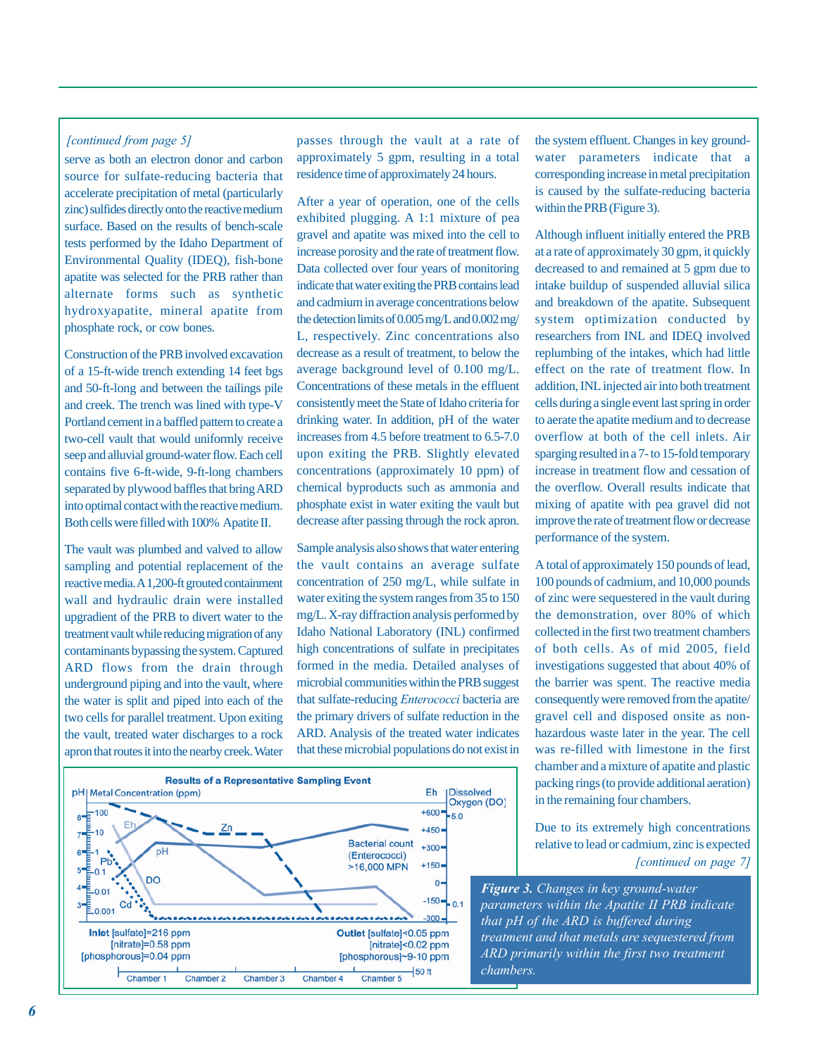### *[continued from page 5]*

serve as both an electron donor and carbon source for sulfate-reducing bacteria that accelerate precipitation of metal (particularly zinc) sulfides directly onto the reactive medium surface. Based on the results of bench-scale tests performed by the Idaho Department of Environmental Quality (IDEQ), fish-bone apatite was selected for the PRB rather than alternate forms such as synthetic hydroxyapatite, mineral apatite from phosphate rock, or cow bones.

Construction of the PRB involved excavation of a 15-ft-wide trench extending 14 feet bgs and 50-ft-long and between the tailings pile and creek. The trench was lined with type-V Portland cement in a baffled pattern to create a two-cell vault that would uniformly receive seep and alluvial ground-water flow. Each cell contains five 6-ft-wide, 9-ft-long chambers separated by plywood baffles that bring ARD into optimal contact with the reactive medium. Both cells were filled with 100% Apatite II.

The vault was plumbed and valved to allow sampling and potential replacement of the reactive media. A 1,200-ft grouted containment wall and hydraulic drain were installed upgradient of the PRB to divert water to the treatment vault while reducing migration of any contaminants bypassing the system. Captured ARD flows from the drain through underground piping and into the vault, where the water is split and piped into each of the two cells for parallel treatment. Upon exiting the vault, treated water discharges to a rock apron that routes it into the nearby creek. Water passes through the vault at a rate of approximately 5 gpm, resulting in a total residence time of approximately 24 hours.

After a year of operation, one of the cells exhibited plugging. A 1:1 mixture of pea gravel and apatite was mixed into the cell to increase porosity and the rate of treatment flow. Data collected over four years of monitoring indicate that water exiting the PRB contains lead and cadmium in average concentrations below the detection limits of 0.005 mg/L and 0.002 mg/ L, respectively. Zinc concentrations also decrease as a result of treatment, to below the average background level of 0.100 mg/L. Concentrations of these metals in the effluent consistently meet the State of Idaho criteria for drinking water. In addition, pH of the water increases from 4.5 before treatment to 6.5-7.0 upon exiting the PRB. Slightly elevated concentrations (approximately 10 ppm) of chemical byproducts such as ammonia and phosphate exist in water exiting the vault but decrease after passing through the rock apron.

Sample analysis also shows that water entering the vault contains an average sulfate concentration of 250 mg/L, while sulfate in water exiting the system ranges from 35 to 150 mg/L. X-ray diffraction analysis performed by Idaho National Laboratory (INL) confirmed high concentrations of sulfate in precipitates formed in the media. Detailed analyses of microbial communities within the PRB suggest that sulfate-reducing *Enterococci* bacteria are the primary drivers of sulfate reduction in the ARD. Analysis of the treated water indicates that these microbial populations do not exist in



the system effluent. Changes in key groundwater parameters indicate that a corresponding increase in metal precipitation is caused by the sulfate-reducing bacteria within the PRB (Figure 3).

Although influent initially entered the PRB at a rate of approximately 30 gpm, it quickly decreased to and remained at 5 gpm due to intake buildup of suspended alluvial silica and breakdown of the apatite. Subsequent system optimization conducted by researchers from INL and IDEQ involved replumbing of the intakes, which had little effect on the rate of treatment flow. In addition, INL injected air into both treatment cells during a single event last spring in order to aerate the apatite medium and to decrease overflow at both of the cell inlets. Air sparging resulted in a 7- to 15-fold temporary increase in treatment flow and cessation of the overflow. Overall results indicate that mixing of apatite with pea gravel did not improve the rate of treatment flow or decrease performance of the system.

A total of approximately 150 pounds of lead, 100 pounds of cadmium, and 10,000 pounds of zinc were sequestered in the vault during the demonstration, over 80% of which collected in the first two treatment chambers of both cells. As of mid 2005, field investigations suggested that about 40% of the barrier was spent. The reactive media consequently were removed from the apatite/ gravel cell and disposed onsite as nonhazardous waste later in the year. The cell was re-filled with limestone in the first chamber and a mixture of apatite and plastic packing rings (to provide additional aeration) in the remaining four chambers.

Due to its extremely high concentrations relative to lead or cadmium, zinc is expected

#### *[continued on page 7]*

*Figure 3. Changes in key ground-water parameters within the Apatite II PRB indicate that pH of the ARD is buffered during treatment and that metals are sequestered from ARD primarily within the first two treatment chambers.*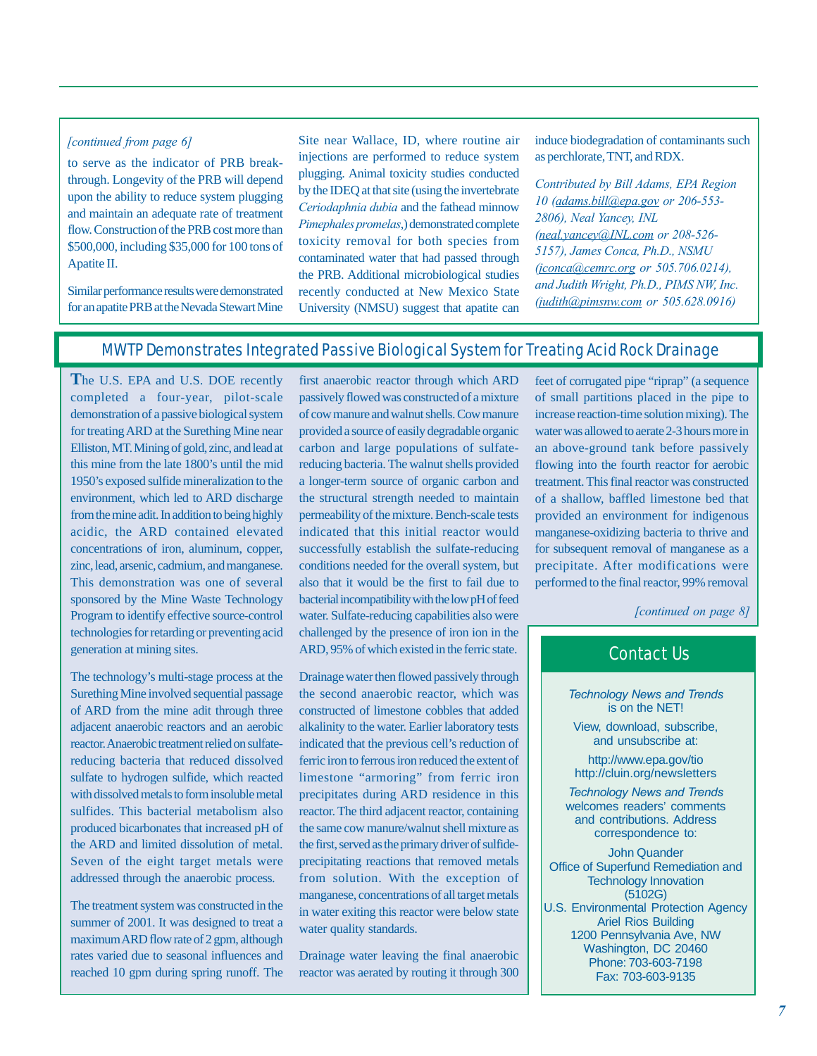## *[continued from page 6]*

to serve as the indicator of PRB breakthrough. Longevity of the PRB will depend upon the ability to reduce system plugging and maintain an adequate rate of treatment flow. Construction of the PRB cost more than \$500,000, including \$35,000 for 100 tons of Apatite II.

Similar performance results were demonstrated for an apatite PRB at the Nevada Stewart Mine

Site near Wallace, ID, where routine air injections are performed to reduce system plugging. Animal toxicity studies conducted by the IDEQ at that site (using the invertebrate *Ceriodaphnia dubia* and the fathead minnow *Pimephales promelas*,) demonstrated complete toxicity removal for both species from contaminated water that had passed through the PRB. Additional microbiological studies recently conducted at New Mexico State University (NMSU) suggest that apatite can induce biodegradation of contaminants such as perchlorate, TNT, and RDX.

*Contributed by Bill Adams, EPA Region 10 (adams.bill@epa.gov or 206-553- 2806), Neal Yancey, INL (neal.yancey@INL.com or 208-526- 5157), James Conca, Ph.D., NSMU (jconca@cemrc.org or 505.706.0214), and Judith Wright, Ph.D., PIMS NW, Inc. (judith@pimsnw.com or 505.628.0916)*

## MWTP Demonstrates Integrated Passive Biological System for Treating Acid Rock Drainage

**T**he U.S. EPA and U.S. DOE recently completed a four-year, pilot-scale demonstration of a passive biological system for treating ARD at the Surething Mine near Elliston, MT. Mining of gold, zinc, and lead at this mine from the late 1800's until the mid 1950's exposed sulfide mineralization to the environment, which led to ARD discharge from the mine adit. In addition to being highly acidic, the ARD contained elevated concentrations of iron, aluminum, copper, zinc, lead, arsenic, cadmium, and manganese. This demonstration was one of several sponsored by the Mine Waste Technology Program to identify effective source-control technologies for retarding or preventing acid generation at mining sites.

The technology's multi-stage process at the Surething Mine involved sequential passage of ARD from the mine adit through three adjacent anaerobic reactors and an aerobic reactor. Anaerobic treatment relied on sulfatereducing bacteria that reduced dissolved sulfate to hydrogen sulfide, which reacted with dissolved metals to form insoluble metal sulfides. This bacterial metabolism also produced bicarbonates that increased pH of the ARD and limited dissolution of metal. Seven of the eight target metals were addressed through the anaerobic process.

The treatment system was constructed in the summer of 2001. It was designed to treat a maximum ARD flow rate of 2 gpm, although rates varied due to seasonal influences and reached 10 gpm during spring runoff. The

first anaerobic reactor through which ARD passively flowed was constructed of a mixture of cow manure and walnut shells. Cow manure provided a source of easily degradable organic carbon and large populations of sulfatereducing bacteria. The walnut shells provided a longer-term source of organic carbon and the structural strength needed to maintain permeability of the mixture. Bench-scale tests indicated that this initial reactor would successfully establish the sulfate-reducing conditions needed for the overall system, but also that it would be the first to fail due to bacterial incompatibility with the low pH of feed water. Sulfate-reducing capabilities also were challenged by the presence of iron ion in the ARD, 95% of which existed in the ferric state.

Drainage water then flowed passively through the second anaerobic reactor, which was constructed of limestone cobbles that added alkalinity to the water. Earlier laboratory tests indicated that the previous cell's reduction of ferric iron to ferrous iron reduced the extent of limestone "armoring" from ferric iron precipitates during ARD residence in this reactor. The third adjacent reactor, containing the same cow manure/walnut shell mixture as the first, served as the primary driver of sulfideprecipitating reactions that removed metals from solution. With the exception of manganese, concentrations of all target metals in water exiting this reactor were below state water quality standards.

Drainage water leaving the final anaerobic reactor was aerated by routing it through 300

feet of corrugated pipe "riprap" (a sequence of small partitions placed in the pipe to increase reaction-time solution mixing). The water was allowed to aerate 2-3 hours more in an above-ground tank before passively flowing into the fourth reactor for aerobic treatment. This final reactor was constructed of a shallow, baffled limestone bed that provided an environment for indigenous manganese-oxidizing bacteria to thrive and for subsequent removal of manganese as a precipitate. After modifications were performed to the final reactor, 99% removal

*[continued on page 8]*

# Contact Us

*Technology News and Trends* is on the NET!

View, download, subscribe, and unsubscribe at:

<http://www.epa.gov/tio> <http://cluin.org/newsletters>

*Technology News and Trends* welcomes readers' comments and contributions. Address correspondence to:

John Quander Office of Superfund Remediation and Technology Innovation (5102G) U.S. Environmental Protection Agency Ariel Rios Building 1200 Pennsylvania Ave, NW Washington, DC 20460 Phone: 703-603-7198 Fax: 703-603-9135